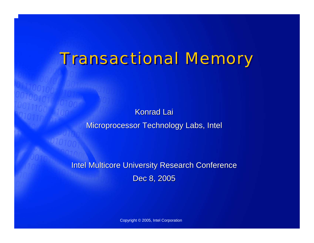# **Transactional Memory**

**Konrad Lai** Microprocessor Technology Labs, Intel

Intel Multicore University Research Conference Dec 8, 2005

Copyright © 2005, Intel Corporation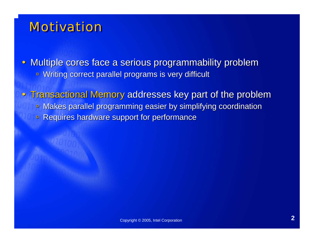### Motivation Motivation

• Multiple cores face a serious programmability problem  $\blacksquare$ Writing correct parallel programs is very difficult

• Transactional Memory addresses key part of the problem à Makes parallel programming easier by simplifying coordination Makes parallel programming easier by simplifying coordination àRequires hardware support for performance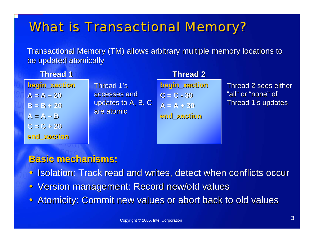## **What is Transactional Memory?**

Transactional Memory (TM) allows arbitrary multiple memory locations to be updated atomically

| <b>Thread 1</b>              |                                  | <b>Thread 2</b>                 |                                            |
|------------------------------|----------------------------------|---------------------------------|--------------------------------------------|
| begin_xaction                | Thread 1's<br>accesses and       | begin_xaction                   | Thread 2 sees either<br>"all" or "none" of |
| $A = A - 20$<br>$B = B + 20$ | updates to A, B, C<br>are atomic | $C = C - 30$<br>$A = A \div 30$ | Thread 1's updates                         |
| $A = A - B$                  |                                  | end xaction                     |                                            |
| $C = C + 20$                 |                                  |                                 |                                            |

#### **Basic mechanisms: Basic mechanisms:**

**end\_xaction end\_xaction**

- $\bigcirc$ Isolation: Track read and writes, detect when conflicts occur
- $\bigcirc$ Version management: Record new/old values
- $\bullet$ Atomicity: Commit new values or abort back to old values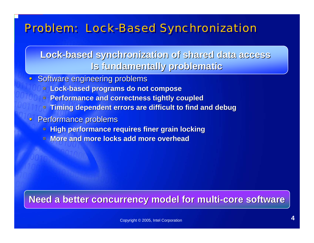### Problem: Lock-Based Synchronization

**Lock-based synchronization of shared data access based synchronization of shared data access Is fundamentally problematic Is fundamentally problematic**

 $\bullet$ Software engineering problems

- à **Lock-based programs do not compose based programs do not compose**
- à **Performance and correctness tightly coupled Performance and correctness tightly coupled**
- à**Timing dependent errors are difficult to find and debug**
- $\rm{C}$ **Performance problems** 
	- $\Box$ **High performance requires finer grain locking**
	- à **More and more locks add more overhead More and more add more overhead**

#### **Need a better concurrency model for multi-core software**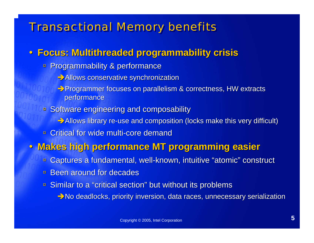### **Transactional Memory benefits**

#### y **Focus: Multithreaded programmability crisis Focus: Multithreaded programmability crisis**

- à Programmability & performance Programmability & performance
	- Allows conservative synchronization
	- Programmer focuses on parallelism & correctness, HW extracts performance
- **B** Software engineering and composability
	- $\rightarrow$  Allows library re-use and composition (locks make this very difficult)
- $\blacksquare$ **Critical for wide multi-core demand Critical for wide multi-core demand**

#### y **Makes high performance MT programming easier Makes high performance MT programming easier**

- àCaptures a fundamental, well-known, intuitive "atomic" construct
- $\blacksquare$ **Been around for decades**
- **Similar to a "critical section" but without its problems** 
	- $\rightarrow$ No deadlocks, priority inversion, data races, unnecessary serialization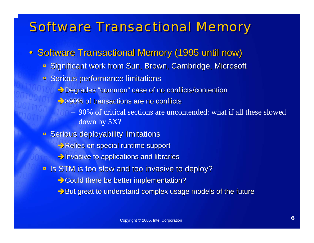### **Software Transactional Memory**

- Software Transactional Memory (1995 until now)
	- Significant work from Sun, Brown, Cambridge, Microsoft
	- **E** Serious performance limitations
		- $\rightarrow$  Degrades "common" case of no conflicts/contention
		- $\rightarrow$  >90% of transactions are no conflicts
			- 90% of critical sections are uncontended: what if all these slowed down by 5X?
	- **B** Serious deployability limitations
		- Relies on special runtime support
		- $\rightarrow$  Invasive to applications and libraries
	- **Example Is STM is too slow and too invasive to deploy?** 
		- $\rightarrow$  Could there be better implementation?
		- $\rightarrow$  But great to understand complex usage models of the future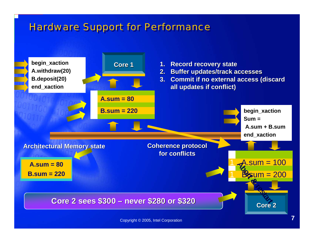### **Hardware Support for Performance**

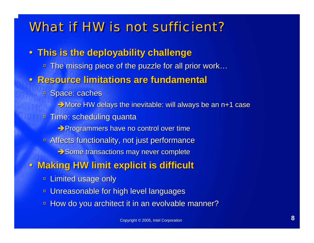### What if HW is not sufficient?

- y **This is the deployability challenge This is the deployability challenge**
	- The missing piece of the puzzle for all prior work…
- y **Resource limitations are fundamental Resource limitations are fundamental**
	- **B** Space: caches
		- $\rightarrow$  More HW delays the inevitable: will always be an n+1 case
	- à Time: scheduling quanta Time: scheduling quanta
		- Programmers have no control over time
	- à Affects functionality, not just performance Affects functionality, not just performance
		- $\rightarrow$  Some transactions may never complete
- $\bigcirc$  **Making HW limit explicit is difficult Making HW limit explicit is difficult**
	- $\blacksquare$ **Limited usage only**
	- àUnreasonable for high level languages
	- $\Box$ How do you architect it in an evolvable manner?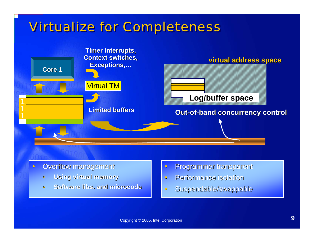## Virtualize for Completeness Virtualize for Completeness



- $\bullet$ Overflow management
	- à**Using virtual memory Using virtual**
	- à**Software Software libs. and microcode . and microcode**
- $\bullet$ Programmer transparent Programmer transparent
- $\bullet$ Performance isolation Performance isolation
- $\bullet$ Suspendable/swappable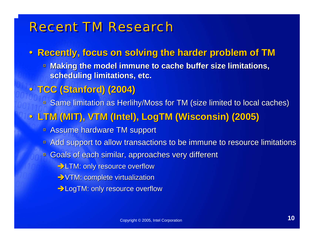### **Recent TM Research**

#### y **Recently, focus on solving the harder problem of TM Recently, focus on solving the harder problem of TM**

<u>■ Making the model immune to cache buffer size limitations,</u> **scheduling limitations, etc. scheduling limitations, etc.**

#### y **TCC (Stanford) (2004) TCC (Stanford) (2004)**

à Same limitation as Same limitation as Herlihy Herlihy/Moss for TM (size limited to local caches) /Moss for TM (size limited to local caches)

#### y **LTM (MIT), VTM (Intel), LTM (MIT), VTM (Intel), LogTM (Wisconsin) (2005) (Wisconsin) (2005)**

- **E** Assume hardware TM support
- à Add support to allow transactions Add support to allow transactions to be immune to resource limit to be immune to resource limitations
- **E** Goals of each similar, approaches very different
	- $\rightarrow$  LTM: only resource overflow
	- $\rightarrow$  VTM: complete virtualization
	- **EXALGOTM: only resource overflow**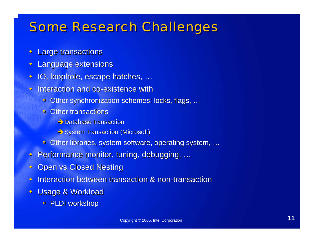### **Some Research Challenges**

- $\bullet$ **Large transactions**
- $\bullet$ **Language extensions**
- $\bullet$ IO, loophole, escape hatches, ...
- $\bullet$ **Interaction and co-existence with** 
	- à Other synchronization schemes: locks, flags, Other synchronization schemes: locks, flags, …
	- **Dear transactions** 
		- $\rightarrow$  Database transaction
		- $\rightarrow$  System transaction (Microsoft)
	- Other libraries, system software, operating system, …
- $\mathbf C$ Performance monitor, tuning, debugging, ...
- $\bullet$ **Open vs Closed Nesting**
- $\bullet$ **Interaction between transaction & non-transaction between transaction**
- $\bullet$ **Usage & Workload** 
	- à PLDI workshop PLDI workshop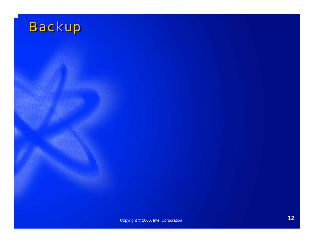# **Backup**